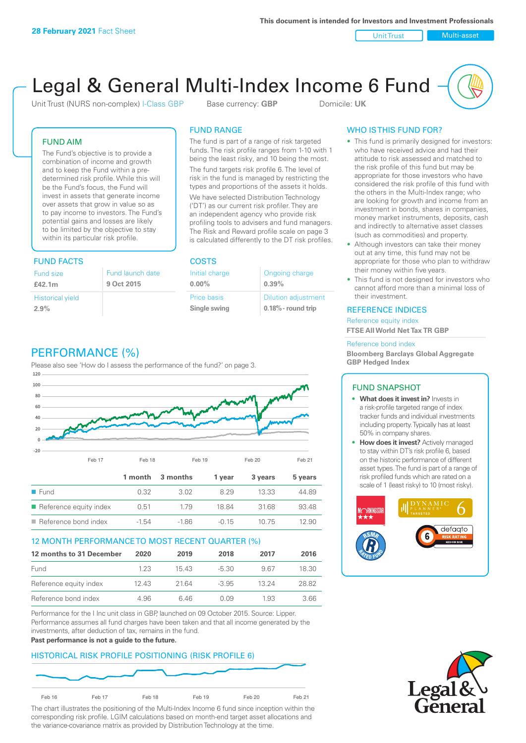Unit Trust Nulti-asset

# Legal & General Multi-Index Income 6 Fund

Unit Trust (NURS non-complex) I-Class GBP Base currency: **GBP** Domicile: UK

# FUND AIM

The Fund's objective is to provide a combination of income and growth and to keep the Fund within a predetermined risk profile. While this will be the Fund's focus, the Fund will invest in assets that generate income over assets that grow in value so as to pay income to investors. The Fund's potential gains and losses are likely to be limited by the objective to stay within its particular risk profile.

# FUND FACTS COSTS

| Fund size<br>£42.1m     | Fund launch date<br>9 Oct 2015 |
|-------------------------|--------------------------------|
| <b>Historical yield</b> |                                |
| 2.9%                    |                                |

# FUND RANGE

The fund is part of a range of risk targeted funds. The risk profile ranges from 1-10 with 1 being the least risky, and 10 being the most.

The fund targets risk profile 6. The level of risk in the fund is managed by restricting the types and proportions of the assets it holds. We have selected Distribution Technology ('DT') as our current risk profiler. They are an independent agency who provide risk profiling tools to advisers and fund managers. The Risk and Reward profile scale on page 3 is calculated differently to the DT risk profiles.

| Initial charge | Ongoing charge             |
|----------------|----------------------------|
| $0.00\%$       | 0.39%                      |
| Price basis    | <b>Dilution adjustment</b> |
| Single swing   | $0.18\%$ - round trip      |

# PERFORMANCE (%)

Please also see 'How do I assess the performance of the fund?' on page 3.



# 12 MONTH PERFORMANCE TO MOST RECENT QUARTER (%)

| 12 months to 31 December | 2020 | 2019  | 2018    | 2017  | 2016  |
|--------------------------|------|-------|---------|-------|-------|
| Fund                     | 123  | 1543  | -5.30   | 967   | 18.30 |
| Reference equity index   | 1243 | 21.64 | $-3.95$ | 13.24 | 28.82 |
| Reference bond index     | 4.96 | 646   | N N9    | 1.93  | 3.66  |

Performance for the I Inc unit class in GBP, launched on 09 October 2015. Source: Lipper. Performance assumes all fund charges have been taken and that all income generated by the investments, after deduction of tax, remains in the fund.

#### **Past performance is not a guide to the future.**

# HISTORICAL RISK PROFILE POSITIONING (RISK PROFILE 6)



The chart illustrates the positioning of the Multi-Index Income 6 fund since inception within the corresponding risk profile. LGIM calculations based on month-end target asset allocations and the variance-covariance matrix as provided by Distribution Technology at the time.

# WHO IS THIS FUND FOR?

- This fund is primarily designed for investors: who have received advice and had their attitude to risk assessed and matched to the risk profile of this fund but may be appropriate for those investors who have considered the risk profile of this fund with the others in the Multi-Index range; who are looking for growth and income from an investment in bonds, shares in companies, money market instruments, deposits, cash and indirectly to alternative asset classes (such as commodities) and property.
- Although investors can take their money out at any time, this fund may not be appropriate for those who plan to withdraw their money within five years.
- This fund is not designed for investors who cannot afford more than a minimal loss of their investment.

# REFERENCE INDICES

Reference equity index **FTSE All World Net Tax TR GBP**

#### Reference bond index

**Bloomberg Barclays Global Aggregate GBP Hedged Index**

# FUND SNAPSHOT

- **• What does it invest in?** Invests in a risk-profile targeted range of index tracker funds and individual investments including property. Typically has at least 50% in company shares.
- **• How does it invest?** Actively managed to stay within DT's risk profile 6, based on the historic performance of different asset types. The fund is part of a range of risk profiled funds which are rated on a scale of 1 (least risky) to 10 (most risky).



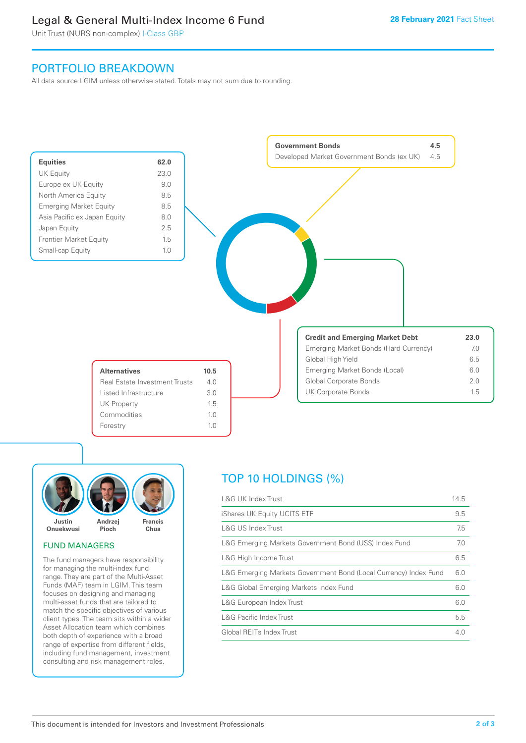# Legal & General Multi-Index Income 6 Fund

Unit Trust (NURS non-complex) I-Class GBP

# PORTFOLIO BREAKDOWN

All data source LGIM unless otherwise stated. Totals may not sum due to rounding.





#### FUND MANAGERS

The fund managers have responsibility for managing the multi-index fund range. They are part of the Multi-Asset Funds (MAF) team in LGIM. This team focuses on designing and managing multi-asset funds that are tailored to match the specific objectives of various client types. The team sits within a wider Asset Allocation team which combines both depth of experience with a broad range of expertise from different fields, including fund management, investment consulting and risk management roles.

# TOP 10 HOLDINGS (%)

| <b>L&amp;G UK Index Trust</b>                                    | 14.5 |
|------------------------------------------------------------------|------|
| iShares UK Equity UCITS ETF                                      | 9.5  |
| L&G US Index Trust                                               | 7.5  |
| L&G Emerging Markets Government Bond (US\$) Index Fund           | 7.0  |
| L&G High Income Trust                                            | 6.5  |
| L&G Emerging Markets Government Bond (Local Currency) Index Fund | 6.0  |
| L&G Global Emerging Markets Index Fund                           | 6.0  |
| L&G European Index Trust                                         | 6.0  |
| <b>L&amp;G Pacific Index Trust</b>                               | 5.5  |
| Global REITs Index Trust                                         | 4.0  |